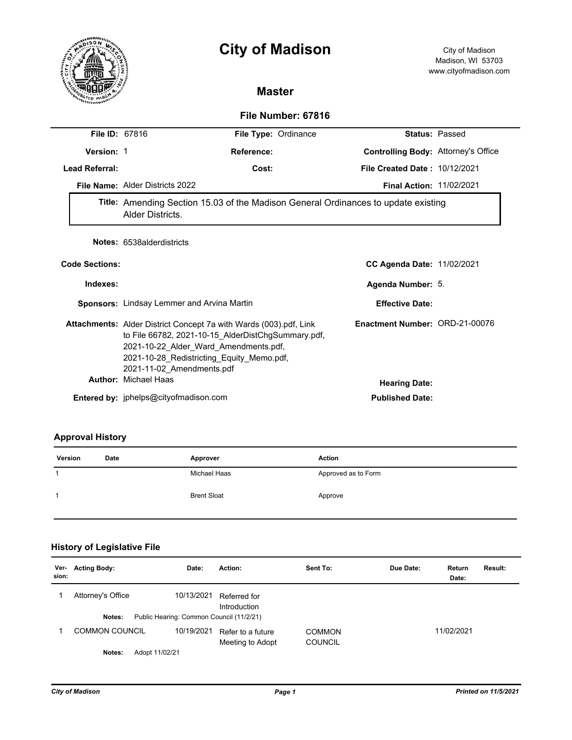# **City of Madison** City of Madison



## **Master**

## **File Number: 67816**

|                       | <b>File ID: 67816</b>                                                                                                                                                                                                                                                            | File Type: Ordinance                                   | <b>Status: Passed</b> |  |  |
|-----------------------|----------------------------------------------------------------------------------------------------------------------------------------------------------------------------------------------------------------------------------------------------------------------------------|--------------------------------------------------------|-----------------------|--|--|
| Version: 1            | Reference:                                                                                                                                                                                                                                                                       | <b>Controlling Body: Attorney's Office</b>             |                       |  |  |
| <b>Lead Referral:</b> | Cost:                                                                                                                                                                                                                                                                            | <b>File Created Date: 10/12/2021</b>                   |                       |  |  |
|                       | File Name: Alder Districts 2022                                                                                                                                                                                                                                                  | <b>Final Action: 11/02/2021</b>                        |                       |  |  |
|                       | Title: Amending Section 15.03 of the Madison General Ordinances to update existing<br>Alder Districts.                                                                                                                                                                           |                                                        |                       |  |  |
|                       | Notes: 6538alderdistricts                                                                                                                                                                                                                                                        |                                                        |                       |  |  |
| <b>Code Sections:</b> |                                                                                                                                                                                                                                                                                  | <b>CC Agenda Date: 11/02/2021</b>                      |                       |  |  |
| Indexes:              |                                                                                                                                                                                                                                                                                  | Agenda Number: 5.                                      |                       |  |  |
|                       | Sponsors: Lindsay Lemmer and Arvina Martin                                                                                                                                                                                                                                       | <b>Effective Date:</b>                                 |                       |  |  |
|                       | <b>Attachments:</b> Alder District Concept 7a with Wards (003).pdf, Link<br>to File 66782, 2021-10-15_AlderDistChgSummary.pdf,<br>2021-10-22_Alder_Ward_Amendments.pdf,<br>2021-10-28 Redistricting Equity Memo.pdf,<br>2021-11-02 Amendments.pdf<br><b>Author: Michael Haas</b> | Enactment Number: ORD-21-00076<br><b>Hearing Date:</b> |                       |  |  |
|                       | Entered by: jphelps@cityofmadison.com                                                                                                                                                                                                                                            | <b>Published Date:</b>                                 |                       |  |  |

## **Approval History**

| Version | Date | Approver           | Action              |
|---------|------|--------------------|---------------------|
|         |      | Michael Haas       | Approved as to Form |
|         |      | <b>Brent Sloat</b> | Approve             |

# **History of Legislative File**

| Ver-<br>sion: | <b>Acting Body:</b>      | Date:                                    | Action:                               | Sent To:                        | Due Date: | Return<br>Date: | Result: |
|---------------|--------------------------|------------------------------------------|---------------------------------------|---------------------------------|-----------|-----------------|---------|
|               | Attorney's Office        | 10/13/2021                               | Referred for<br>Introduction          |                                 |           |                 |         |
|               | Notes:                   | Public Hearing: Common Council (11/2/21) |                                       |                                 |           |                 |         |
|               | COMMON COUNCIL           | 10/19/2021                               | Refer to a future<br>Meeting to Adopt | <b>COMMON</b><br><b>COUNCIL</b> |           | 11/02/2021      |         |
|               | Adopt 11/02/21<br>Notes: |                                          |                                       |                                 |           |                 |         |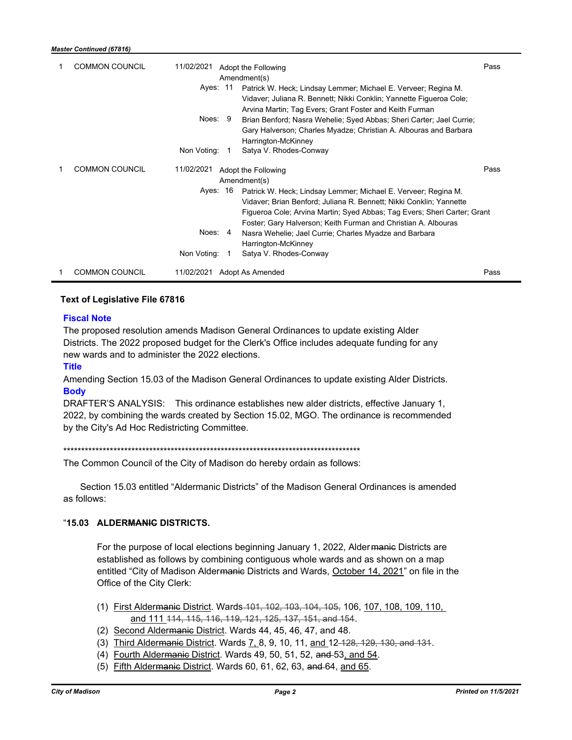| <b>COMMON COUNCIL</b> | 11/02/2021<br>Adopt the Following<br>Amendment(s)<br>Ayes: 11<br>Patrick W. Heck; Lindsay Lemmer; Michael E. Verveer; Regina M.<br>Vidaver; Juliana R. Bennett; Nikki Conklin; Yannette Figueroa Cole;<br>Arvina Martin; Tag Evers; Grant Foster and Keith Furman<br>Noes: 9<br>Brian Benford; Nasra Wehelie; Syed Abbas; Sheri Carter; Jael Currie;<br>Gary Halverson; Charles Myadze; Christian A. Albouras and Barbara<br>Harrington-McKinney<br>Non Voting:<br>Satya V. Rhodes-Conway<br>$\overline{1}$ | Pass |
|-----------------------|-------------------------------------------------------------------------------------------------------------------------------------------------------------------------------------------------------------------------------------------------------------------------------------------------------------------------------------------------------------------------------------------------------------------------------------------------------------------------------------------------------------|------|
| <b>COMMON COUNCIL</b> | 11/02/2021<br>Adopt the Following<br>Amendment(s)<br>Ayes: 16<br>Patrick W. Heck; Lindsay Lemmer; Michael E. Verveer; Regina M.<br>Vidaver; Brian Benford; Juliana R. Bennett; Nikki Conklin; Yannette<br>Figueroa Cole; Arvina Martin; Syed Abbas; Tag Evers; Sheri Carter; Grant<br>Foster; Gary Halverson; Keith Furman and Christian A. Albouras<br>Noes: 4<br>Nasra Wehelie; Jael Currie; Charles Myadze and Barbara<br>Harrington-McKinney<br>Non Voting:<br>Satya V. Rhodes-Conway<br>-1             | Pass |
| <b>COMMON COUNCIL</b> | Adopt As Amended<br>11/02/2021                                                                                                                                                                                                                                                                                                                                                                                                                                                                              | Pass |

### **Text of Legislative File 67816**

#### **Fiscal Note**

The proposed resolution amends Madison General Ordinances to update existing Alder Districts. The 2022 proposed budget for the Clerk's Office includes adequate funding for any new wards and to administer the 2022 elections.

**Title**

Amending Section 15.03 of the Madison General Ordinances to update existing Alder Districts. **Body**

DRAFTER'S ANALYSIS: This ordinance establishes new alder districts, effective January 1, 2022, by combining the wards created by Section 15.02, MGO. The ordinance is recommended by the City's Ad Hoc Redistricting Committee.

\*\*\*\*\*\*\*\*\*\*\*\*\*\*\*\*\*\*\*\*\*\*\*\*\*\*\*\*\*\*\*\*\*\*\*\*\*\*\*\*\*\*\*\*\*\*\*\*\*\*\*\*\*\*\*\*\*\*\*\*\*\*\*\*\*\*\*\*\*\*\*\*\*\*\*\*\*\*\*\*\*\*\*

The Common Council of the City of Madison do hereby ordain as follows:

Section 15.03 entitled "Aldermanic Districts" of the Madison General Ordinances is amended as follows:

#### "**15.03 ALDERMANIC DISTRICTS.**

For the purpose of local elections beginning January 1, 2022, Alder manie Districts are established as follows by combining contiguous whole wards and as shown on a map entitled "City of Madison Alder<del>manic</del> Districts and Wards, October 14, 2021" on file in the Office of the City Clerk:

- (1) First Aldermanic District. Wards 101, 102, 103, 104, 105, 106, 107, 108, 109, 110, and 111 114, 115, 116, 119, 121, 125, 137, 151, and 154.
- (2) Second Aldermanic District. Wards 44, 45, 46, 47, and 48.
- (3) Third Alder<del>manic</del> District. Wards 7, 8, 9, 10, 11, and 12-428, 129, 130, and 131.
- (4) Fourth Aldermanic District. Wards 49, 50, 51, 52, and-53, and 54.
- (5) Fifth Alder<del>manic</del> District. Wards 60, 61, 62, 63, and 64, and 65.